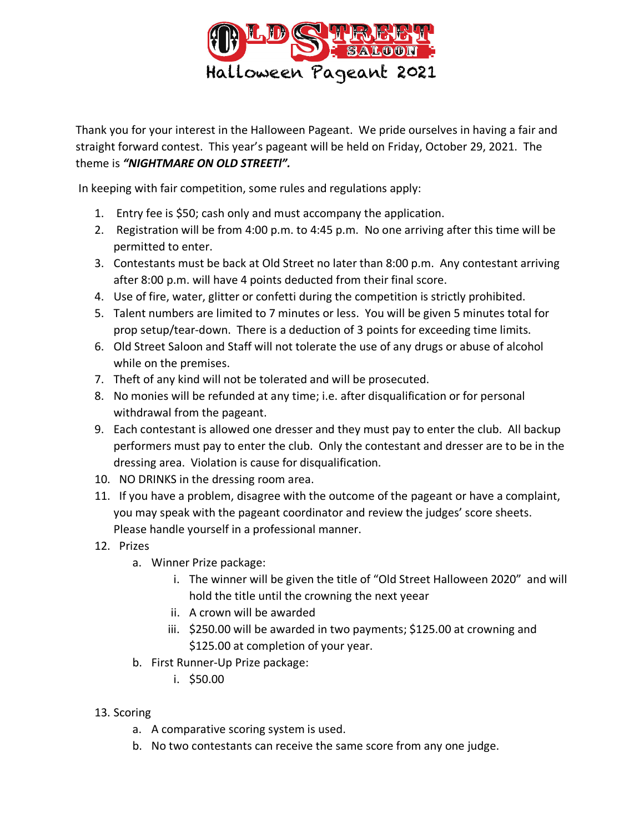

Thank you for your interest in the Halloween Pageant. We pride ourselves in having a fair and straight forward contest. This year's pageant will be held on Friday, October 29, 2021. The theme is *"NIGHTMARE ON OLD STREETl".*

In keeping with fair competition, some rules and regulations apply:

- 1. Entry fee is \$50; cash only and must accompany the application.
- 2. Registration will be from 4:00 p.m. to 4:45 p.m. No one arriving after this time will be permitted to enter.
- 3. Contestants must be back at Old Street no later than 8:00 p.m. Any contestant arriving after 8:00 p.m. will have 4 points deducted from their final score.
- 4. Use of fire, water, glitter or confetti during the competition is strictly prohibited.
- 5. Talent numbers are limited to 7 minutes or less. You will be given 5 minutes total for prop setup/tear-down. There is a deduction of 3 points for exceeding time limits.
- 6. Old Street Saloon and Staff will not tolerate the use of any drugs or abuse of alcohol while on the premises.
- 7. Theft of any kind will not be tolerated and will be prosecuted.
- 8. No monies will be refunded at any time; i.e. after disqualification or for personal withdrawal from the pageant.
- 9. Each contestant is allowed one dresser and they must pay to enter the club. All backup performers must pay to enter the club. Only the contestant and dresser are to be in the dressing area. Violation is cause for disqualification.
- 10. NO DRINKS in the dressing room area.
- 11. If you have a problem, disagree with the outcome of the pageant or have a complaint, you may speak with the pageant coordinator and review the judges' score sheets. Please handle yourself in a professional manner.
- 12. Prizes
	- a. Winner Prize package:
		- i. The winner will be given the title of "Old Street Halloween 2020" and will hold the title until the crowning the next yeear
		- ii. A crown will be awarded
		- iii. \$250.00 will be awarded in two payments; \$125.00 at crowning and \$125.00 at completion of your year.
	- b. First Runner-Up Prize package:
		- i. \$50.00
- 13. Scoring
	- a. A comparative scoring system is used.
	- b. No two contestants can receive the same score from any one judge.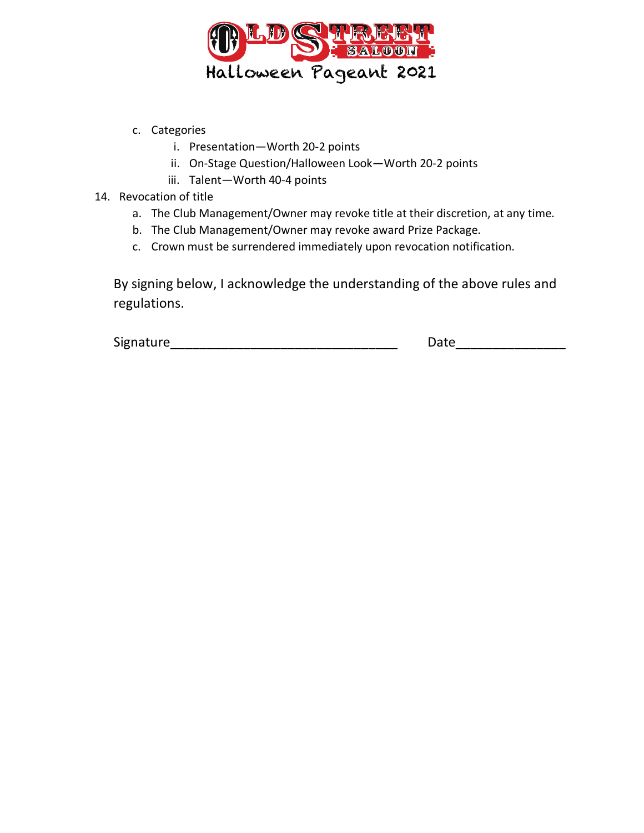

- c. Categories
	- i. Presentation—Worth 20-2 points
	- ii. On-Stage Question/Halloween Look—Worth 20-2 points
	- iii. Talent—Worth 40-4 points
- 14. Revocation of title
	- a. The Club Management/Owner may revoke title at their discretion, at any time.
	- b. The Club Management/Owner may revoke award Prize Package.
	- c. Crown must be surrendered immediately upon revocation notification.

By signing below, I acknowledge the understanding of the above rules and regulations.

Signature\_\_\_\_\_\_\_\_\_\_\_\_\_\_\_\_\_\_\_\_\_\_\_\_\_\_\_\_\_\_\_ Date\_\_\_\_\_\_\_\_\_\_\_\_\_\_\_